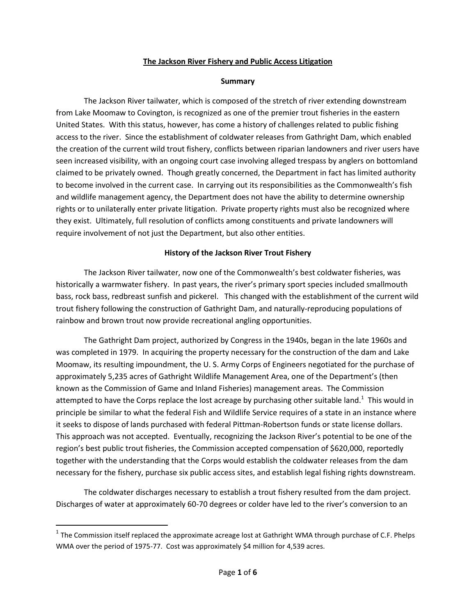#### **The Jackson River Fishery and Public Access Litigation**

#### **Summary**

The Jackson River tailwater, which is composed of the stretch of river extending downstream from Lake Moomaw to Covington, is recognized as one of the premier trout fisheries in the eastern United States. With this status, however, has come a history of challenges related to public fishing access to the river. Since the establishment of coldwater releases from Gathright Dam, which enabled the creation of the current wild trout fishery, conflicts between riparian landowners and river users have seen increased visibility, with an ongoing court case involving alleged trespass by anglers on bottomland claimed to be privately owned. Though greatly concerned, the Department in fact has limited authority to become involved in the current case. In carrying out its responsibilities as the Commonwealth's fish and wildlife management agency, the Department does not have the ability to determine ownership rights or to unilaterally enter private litigation. Private property rights must also be recognized where they exist. Ultimately, full resolution of conflicts among constituents and private landowners will require involvement of not just the Department, but also other entities.

### **History of the Jackson River Trout Fishery**

The Jackson River tailwater, now one of the Commonwealth's best coldwater fisheries, was historically a warmwater fishery. In past years, the river's primary sport species included smallmouth bass, rock bass, redbreast sunfish and pickerel. This changed with the establishment of the current wild trout fishery following the construction of Gathright Dam, and naturally-reproducing populations of rainbow and brown trout now provide recreational angling opportunities.

The Gathright Dam project, authorized by Congress in the 1940s, began in the late 1960s and was completed in 1979. In acquiring the property necessary for the construction of the dam and Lake Moomaw, its resulting impoundment, the U. S. Army Corps of Engineers negotiated for the purchase of approximately 5,235 acres of Gathright Wildlife Management Area, one of the Department's (then known as the Commission of Game and Inland Fisheries) management areas. The Commission attempted to have the Corps replace the lost acreage by purchasing other suitable land.<sup>1</sup> This would in principle be similar to what the federal Fish and Wildlife Service requires of a state in an instance where it seeks to dispose of lands purchased with federal Pittman-Robertson funds or state license dollars. This approach was not accepted. Eventually, recognizing the Jackson River's potential to be one of the region's best public trout fisheries, the Commission accepted compensation of \$620,000, reportedly together with the understanding that the Corps would establish the coldwater releases from the dam necessary for the fishery, purchase six public access sites, and establish legal fishing rights downstream.

The coldwater discharges necessary to establish a trout fishery resulted from the dam project. Discharges of water at approximately 60-70 degrees or colder have led to the river's conversion to an

 $\overline{\phantom{a}}$ 

 $^1$  The Commission itself replaced the approximate acreage lost at Gathright WMA through purchase of C.F. Phelps WMA over the period of 1975-77. Cost was approximately \$4 million for 4,539 acres.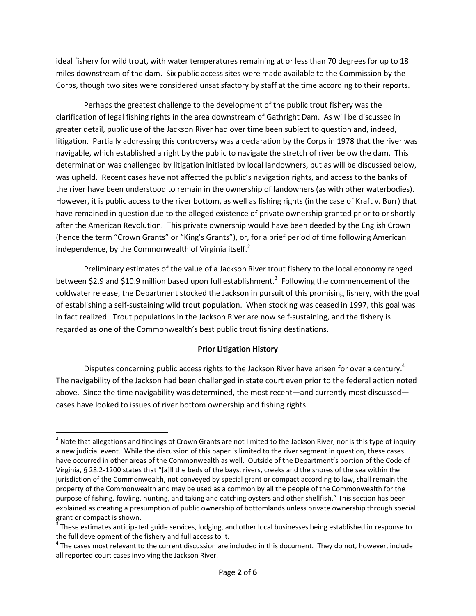ideal fishery for wild trout, with water temperatures remaining at or less than 70 degrees for up to 18 miles downstream of the dam. Six public access sites were made available to the Commission by the Corps, though two sites were considered unsatisfactory by staff at the time according to their reports.

Perhaps the greatest challenge to the development of the public trout fishery was the clarification of legal fishing rights in the area downstream of Gathright Dam. As will be discussed in greater detail, public use of the Jackson River had over time been subject to question and, indeed, litigation. Partially addressing this controversy was a declaration by the Corps in 1978 that the river was navigable, which established a right by the public to navigate the stretch of river below the dam. This determination was challenged by litigation initiated by local landowners, but as will be discussed below, was upheld. Recent cases have not affected the public's navigation rights, and access to the banks of the river have been understood to remain in the ownership of landowners (as with other waterbodies). However, it is public access to the river bottom, as well as fishing rights (in the case of Kraft v. Burr) that have remained in question due to the alleged existence of private ownership granted prior to or shortly after the American Revolution. This private ownership would have been deeded by the English Crown (hence the term "Crown Grants" or "King's Grants"), or, for a brief period of time following American independence, by the Commonwealth of Virginia itself. $<sup>2</sup>$ </sup>

Preliminary estimates of the value of a Jackson River trout fishery to the local economy ranged between \$2.9 and \$10.9 million based upon full establishment.<sup>3</sup> Following the commencement of the coldwater release, the Department stocked the Jackson in pursuit of this promising fishery, with the goal of establishing a self-sustaining wild trout population. When stocking was ceased in 1997, this goal was in fact realized. Trout populations in the Jackson River are now self-sustaining, and the fishery is regarded as one of the Commonwealth's best public trout fishing destinations.

#### **Prior Litigation History**

Disputes concerning public access rights to the Jackson River have arisen for over a century.<sup>4</sup> The navigability of the Jackson had been challenged in state court even prior to the federal action noted above. Since the time navigability was determined, the most recent—and currently most discussed cases have looked to issues of river bottom ownership and fishing rights.

l

 $^2$  Note that allegations and findings of Crown Grants are not limited to the Jackson River, nor is this type of inquiry a new judicial event. While the discussion of this paper is limited to the river segment in question, these cases have occurred in other areas of the Commonwealth as well. Outside of the Department's portion of the Code of Virginia, § 28.2-1200 states that "[a]ll the beds of the bays, rivers, creeks and the shores of the sea within the jurisdiction of the Commonwealth, not conveyed by special grant or compact according to law, shall remain the property of the Commonwealth and may be used as a common by all the people of the Commonwealth for the purpose of fishing, fowling, hunting, and taking and catching oysters and other shellfish." This section has been explained as creating a presumption of public ownership of bottomlands unless private ownership through special grant or compact is shown.

 $3$  These estimates anticipated guide services, lodging, and other local businesses being established in response to the full development of the fishery and full access to it.

 $<sup>4</sup>$  The cases most relevant to the current discussion are included in this document. They do not, however, include</sup> all reported court cases involving the Jackson River.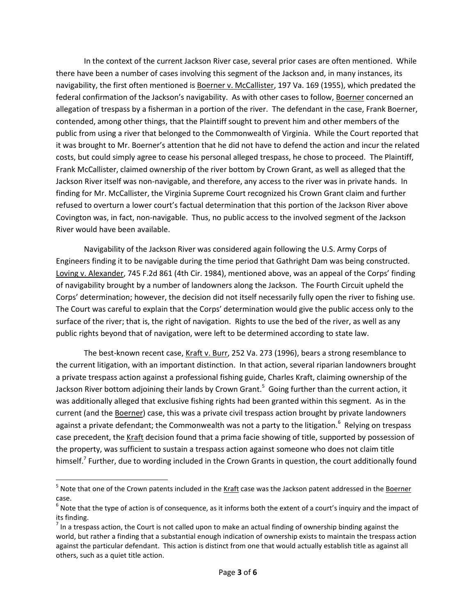In the context of the current Jackson River case, several prior cases are often mentioned. While there have been a number of cases involving this segment of the Jackson and, in many instances, its navigability, the first often mentioned is Boerner v. McCallister, 197 Va. 169 (1955), which predated the federal confirmation of the Jackson's navigability. As with other cases to follow, Boerner concerned an allegation of trespass by a fisherman in a portion of the river. The defendant in the case, Frank Boerner, contended, among other things, that the Plaintiff sought to prevent him and other members of the public from using a river that belonged to the Commonwealth of Virginia. While the Court reported that it was brought to Mr. Boerner's attention that he did not have to defend the action and incur the related costs, but could simply agree to cease his personal alleged trespass, he chose to proceed. The Plaintiff, Frank McCallister, claimed ownership of the river bottom by Crown Grant, as well as alleged that the Jackson River itself was non-navigable, and therefore, any access to the river was in private hands. In finding for Mr. McCallister, the Virginia Supreme Court recognized his Crown Grant claim and further refused to overturn a lower court's factual determination that this portion of the Jackson River above Covington was, in fact, non-navigable. Thus, no public access to the involved segment of the Jackson River would have been available.

Navigability of the Jackson River was considered again following the U.S. Army Corps of Engineers finding it to be navigable during the time period that Gathright Dam was being constructed. Loving v. Alexander, 745 F.2d 861 (4th Cir. 1984), mentioned above, was an appeal of the Corps' finding of navigability brought by a number of landowners along the Jackson. The Fourth Circuit upheld the Corps' determination; however, the decision did not itself necessarily fully open the river to fishing use. The Court was careful to explain that the Corps' determination would give the public access only to the surface of the river; that is, the right of navigation. Rights to use the bed of the river, as well as any public rights beyond that of navigation, were left to be determined according to state law.

The best-known recent case, Kraft v. Burr, 252 Va. 273 (1996), bears a strong resemblance to the current litigation, with an important distinction. In that action, several riparian landowners brought a private trespass action against a professional fishing guide, Charles Kraft, claiming ownership of the Jackson River bottom adjoining their lands by Crown Grant.<sup>5</sup> Going further than the current action, it was additionally alleged that exclusive fishing rights had been granted within this segment. As in the current (and the Boerner) case, this was a private civil trespass action brought by private landowners against a private defendant; the Commonwealth was not a party to the litigation.<sup>6</sup> Relying on trespass case precedent, the Kraft decision found that a prima facie showing of title, supported by possession of the property, was sufficient to sustain a trespass action against someone who does not claim title himself.<sup>7</sup> Further, due to wording included in the Crown Grants in question, the court additionally found

 $\overline{\phantom{a}}$ 

<sup>&</sup>lt;sup>5</sup> Note that one of the Crown patents included in the <u>Kraft</u> case was the Jackson patent addressed in the <u>Boerner</u> case.

 $^6$  Note that the type of action is of consequence, as it informs both the extent of a court's inquiry and the impact of its finding.

 $^7$  In a trespass action, the Court is not called upon to make an actual finding of ownership binding against the world, but rather a finding that a substantial enough indication of ownership exists to maintain the trespass action against the particular defendant. This action is distinct from one that would actually establish title as against all others, such as a quiet title action.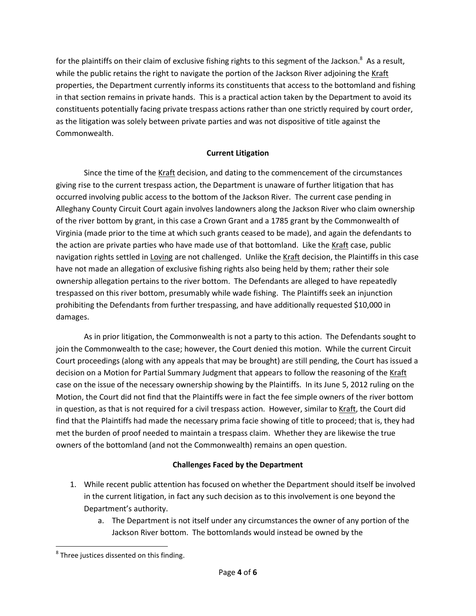for the plaintiffs on their claim of exclusive fishing rights to this segment of the Jackson. $^8$  As a result, while the public retains the right to navigate the portion of the Jackson River adjoining the Kraft properties, the Department currently informs its constituents that access to the bottomland and fishing in that section remains in private hands. This is a practical action taken by the Department to avoid its constituents potentially facing private trespass actions rather than one strictly required by court order, as the litigation was solely between private parties and was not dispositive of title against the Commonwealth.

# **Current Litigation**

Since the time of the Kraft decision, and dating to the commencement of the circumstances giving rise to the current trespass action, the Department is unaware of further litigation that has occurred involving public access to the bottom of the Jackson River. The current case pending in Alleghany County Circuit Court again involves landowners along the Jackson River who claim ownership of the river bottom by grant, in this case a Crown Grant and a 1785 grant by the Commonwealth of Virginia (made prior to the time at which such grants ceased to be made), and again the defendants to the action are private parties who have made use of that bottomland. Like the Kraft case, public navigation rights settled in Loving are not challenged. Unlike the Kraft decision, the Plaintiffs in this case have not made an allegation of exclusive fishing rights also being held by them; rather their sole ownership allegation pertains to the river bottom. The Defendants are alleged to have repeatedly trespassed on this river bottom, presumably while wade fishing. The Plaintiffs seek an injunction prohibiting the Defendants from further trespassing, and have additionally requested \$10,000 in damages.

As in prior litigation, the Commonwealth is not a party to this action. The Defendants sought to join the Commonwealth to the case; however, the Court denied this motion. While the current Circuit Court proceedings (along with any appeals that may be brought) are still pending, the Court has issued a decision on a Motion for Partial Summary Judgment that appears to follow the reasoning of the Kraft case on the issue of the necessary ownership showing by the Plaintiffs. In its June 5, 2012 ruling on the Motion, the Court did not find that the Plaintiffs were in fact the fee simple owners of the river bottom in question, as that is not required for a civil trespass action. However, similar to Kraft, the Court did find that the Plaintiffs had made the necessary prima facie showing of title to proceed; that is, they had met the burden of proof needed to maintain a trespass claim. Whether they are likewise the true owners of the bottomland (and not the Commonwealth) remains an open question.

## **Challenges Faced by the Department**

- 1. While recent public attention has focused on whether the Department should itself be involved in the current litigation, in fact any such decision as to this involvement is one beyond the Department's authority.
	- a. The Department is not itself under any circumstances the owner of any portion of the Jackson River bottom. The bottomlands would instead be owned by the

 $\overline{\phantom{a}}$ 

 $^8$  Three justices dissented on this finding.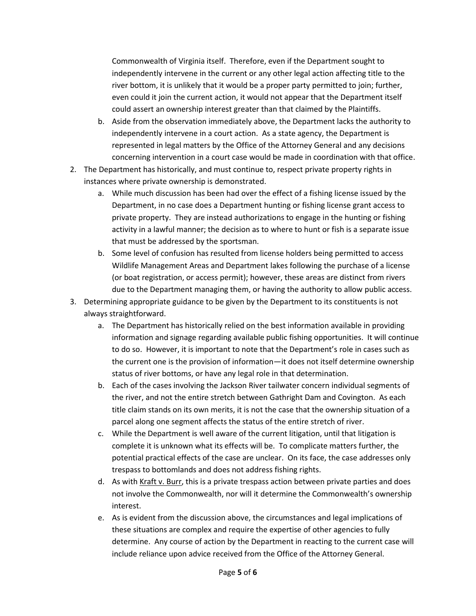Commonwealth of Virginia itself. Therefore, even if the Department sought to independently intervene in the current or any other legal action affecting title to the river bottom, it is unlikely that it would be a proper party permitted to join; further, even could it join the current action, it would not appear that the Department itself could assert an ownership interest greater than that claimed by the Plaintiffs.

- b. Aside from the observation immediately above, the Department lacks the authority to independently intervene in a court action. As a state agency, the Department is represented in legal matters by the Office of the Attorney General and any decisions concerning intervention in a court case would be made in coordination with that office.
- 2. The Department has historically, and must continue to, respect private property rights in instances where private ownership is demonstrated.
	- a. While much discussion has been had over the effect of a fishing license issued by the Department, in no case does a Department hunting or fishing license grant access to private property. They are instead authorizations to engage in the hunting or fishing activity in a lawful manner; the decision as to where to hunt or fish is a separate issue that must be addressed by the sportsman.
	- b. Some level of confusion has resulted from license holders being permitted to access Wildlife Management Areas and Department lakes following the purchase of a license (or boat registration, or access permit); however, these areas are distinct from rivers due to the Department managing them, or having the authority to allow public access.
- 3. Determining appropriate guidance to be given by the Department to its constituents is not always straightforward.
	- a. The Department has historically relied on the best information available in providing information and signage regarding available public fishing opportunities. It will continue to do so. However, it is important to note that the Department's role in cases such as the current one is the provision of information—it does not itself determine ownership status of river bottoms, or have any legal role in that determination.
	- b. Each of the cases involving the Jackson River tailwater concern individual segments of the river, and not the entire stretch between Gathright Dam and Covington. As each title claim stands on its own merits, it is not the case that the ownership situation of a parcel along one segment affects the status of the entire stretch of river.
	- c. While the Department is well aware of the current litigation, until that litigation is complete it is unknown what its effects will be. To complicate matters further, the potential practical effects of the case are unclear. On its face, the case addresses only trespass to bottomlands and does not address fishing rights.
	- d. As with Kraft v. Burr, this is a private trespass action between private parties and does not involve the Commonwealth, nor will it determine the Commonwealth's ownership interest.
	- e. As is evident from the discussion above, the circumstances and legal implications of these situations are complex and require the expertise of other agencies to fully determine. Any course of action by the Department in reacting to the current case will include reliance upon advice received from the Office of the Attorney General.